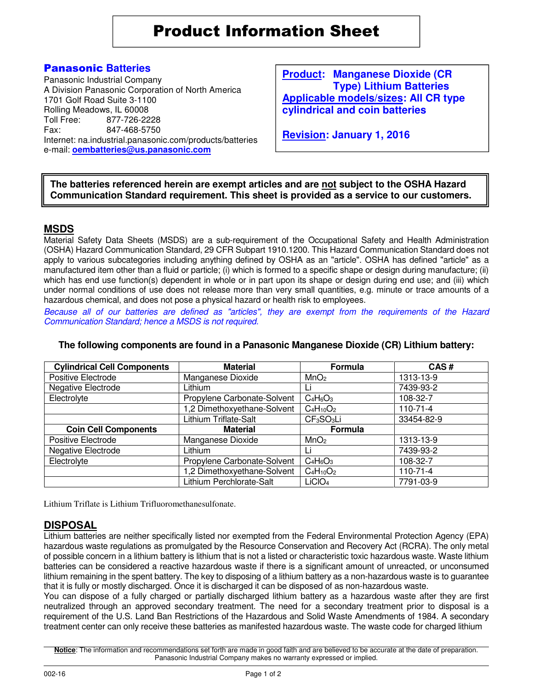Product Information Sheet

# Panasonic **Batteries**

Panasonic Industrial Company A Division Panasonic Corporation of North America 1701 Golf Road Suite 3-1100 Rolling Meadows, IL 60008<br>Toll Free: 877-726-22 Toll Free: 877-726-2228 847-468-5750 Internet: na.industrial.panasonic.com/products/batteries e-mail: **oembatteries@us.panasonic.com**

**Product: Manganese Dioxide (CR Type) Lithium Batteries Applicable models/sizes: All CR type cylindrical and coin batteries**

**Revision: January 1, 2016**

**The batteries referenced herein are exempt articles and are not subject to the OSHA Hazard Communication Standard requirement. This sheet is provided as a service to our customers.** 

### **MSDS**

Material Safety Data Sheets (MSDS) are a sub-requirement of the Occupational Safety and Health Administration (OSHA) Hazard Communication Standard, 29 CFR Subpart 1910.1200. This Hazard Communication Standard does not apply to various subcategories including anything defined by OSHA as an "article". OSHA has defined "article" as a manufactured item other than a fluid or particle; (i) which is formed to a specific shape or design during manufacture; (ii) which has end use function(s) dependent in whole or in part upon its shape or design during end use; and (iii) which under normal conditions of use does not release more than very small quantities, e.g. minute or trace amounts of a hazardous chemical, and does not pose a physical hazard or health risk to employees.

Because all of our batteries are defined as "articles", they are exempt from the requirements of the Hazard Communication Standard; hence a MSDS is not required.

| <b>Cylindrical Cell Components</b> | <b>Material</b>             | Formula                            | CAS#           |
|------------------------------------|-----------------------------|------------------------------------|----------------|
| Positive Electrode                 | Manganese Dioxide           | MnO <sub>2</sub>                   | 1313-13-9      |
| Negative Electrode                 | Lithium                     | Li                                 | 7439-93-2      |
| Electrolyte                        | Propylene Carbonate-Solvent | $C_4H_6O_3$                        | 108-32-7       |
|                                    | 1,2 Dimethoxyethane-Solvent | $C_4H_{10}O_2$                     | $110 - 71 - 4$ |
|                                    | Lithium Triflate-Salt       | CF <sub>3</sub> SO <sub>3</sub> Li | 33454-82-9     |
| <b>Coin Cell Components</b>        | <b>Material</b>             | Formula                            |                |
| Positive Electrode                 | Manganese Dioxide           | MnO <sub>2</sub>                   | 1313-13-9      |
| Negative Electrode                 | Lithium                     | Li                                 | 7439-93-2      |
| Electrolyte                        | Propylene Carbonate-Solvent | $C_4H_6O_3$                        | 108-32-7       |
|                                    | 1,2 Dimethoxyethane-Solvent | $C_4H_{10}O_2$                     | $110 - 71 - 4$ |
|                                    | Lithium Perchlorate-Salt    | LiClO <sub>4</sub>                 | 7791-03-9      |

#### **The following components are found in a Panasonic Manganese Dioxide (CR) Lithium battery:**

Lithium Triflate is Lithium Trifluoromethanesulfonate.

### **DISPOSAL**

Lithium batteries are neither specifically listed nor exempted from the Federal Environmental Protection Agency (EPA) hazardous waste regulations as promulgated by the Resource Conservation and Recovery Act (RCRA). The only metal of possible concern in a lithium battery is lithium that is not a listed or characteristic toxic hazardous waste. Waste lithium batteries can be considered a reactive hazardous waste if there is a significant amount of unreacted, or unconsumed lithium remaining in the spent battery. The key to disposing of a lithium battery as a non-hazardous waste is to guarantee that it is fully or mostly discharged. Once it is discharged it can be disposed of as non-hazardous waste.

You can dispose of a fully charged or partially discharged lithium battery as a hazardous waste after they are first neutralized through an approved secondary treatment. The need for a secondary treatment prior to disposal is a requirement of the U.S. Land Ban Restrictions of the Hazardous and Solid Waste Amendments of 1984. A secondary treatment center can only receive these batteries as manifested hazardous waste. The waste code for charged lithium

**Notice**: The information and recommendations set forth are made in good faith and are believed to be accurate at the date of preparation. Panasonic Industrial Company makes no warranty expressed or implied.